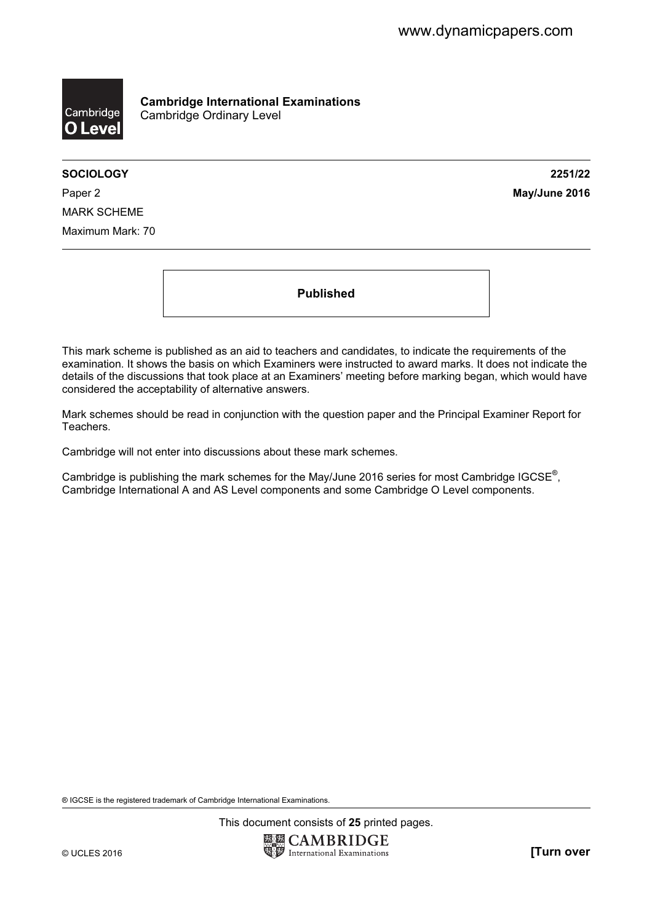

Cambridge International Examinations Cambridge Ordinary Level

SOCIOLOGY 2251/22

Paper 2 **May/June 2016** MARK SCHEME Maximum Mark: 70

Published

This mark scheme is published as an aid to teachers and candidates, to indicate the requirements of the examination. It shows the basis on which Examiners were instructed to award marks. It does not indicate the details of the discussions that took place at an Examiners' meeting before marking began, which would have considered the acceptability of alternative answers.

Mark schemes should be read in conjunction with the question paper and the Principal Examiner Report for Teachers.

Cambridge will not enter into discussions about these mark schemes.

Cambridge is publishing the mark schemes for the May/June 2016 series for most Cambridge IGCSE*®* , Cambridge International A and AS Level components and some Cambridge O Level components.

® IGCSE is the registered trademark of Cambridge International Examinations.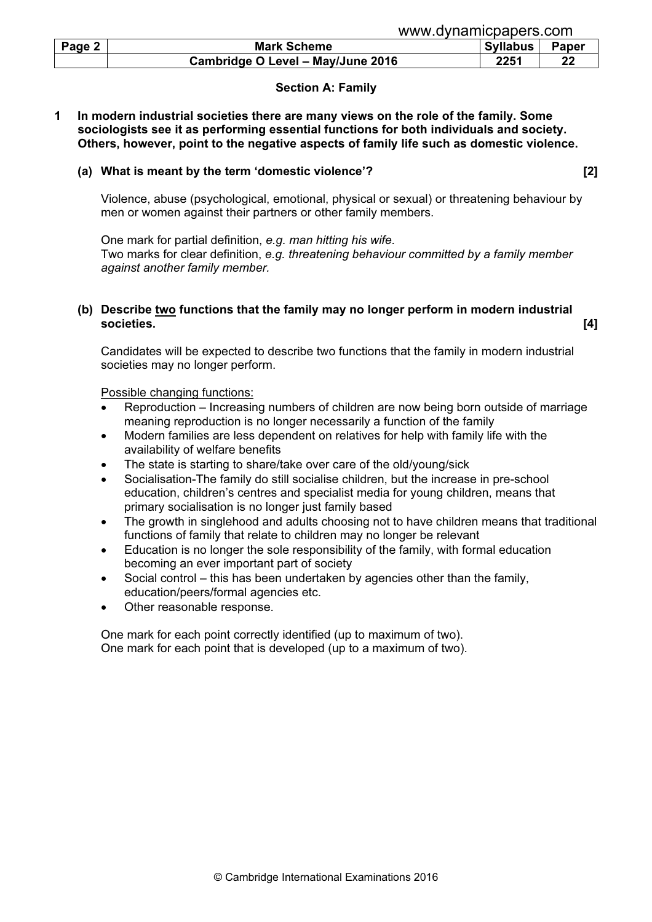| Page 2 | <b>Mark Scheme</b>                | <b>Syllabus</b> | <b>Paper</b> |
|--------|-----------------------------------|-----------------|--------------|
|        | Cambridge O Level - May/June 2016 | 2251            | າ'           |

## Section A: Family

1 In modern industrial societies there are many views on the role of the family. Some sociologists see it as performing essential functions for both individuals and society. Others, however, point to the negative aspects of family life such as domestic violence.

#### (a) What is meant by the term 'domestic violence'? [2]

 Violence, abuse (psychological, emotional, physical or sexual) or threatening behaviour by men or women against their partners or other family members.

 One mark for partial definition, e.g. man hitting his wife. Two marks for clear definition, e.g. threatening behaviour committed by a family member against another family member.

#### (b) Describe two functions that the family may no longer perform in modern industrial societies. [4]

 Candidates will be expected to describe two functions that the family in modern industrial societies may no longer perform.

#### Possible changing functions:

- Reproduction Increasing numbers of children are now being born outside of marriage meaning reproduction is no longer necessarily a function of the family
- Modern families are less dependent on relatives for help with family life with the availability of welfare benefits
- The state is starting to share/take over care of the old/young/sick
- Socialisation-The family do still socialise children, but the increase in pre-school education, children's centres and specialist media for young children, means that primary socialisation is no longer just family based
- The growth in singlehood and adults choosing not to have children means that traditional functions of family that relate to children may no longer be relevant
- Education is no longer the sole responsibility of the family, with formal education becoming an ever important part of society
- Social control this has been undertaken by agencies other than the family, education/peers/formal agencies etc.
- Other reasonable response.

 One mark for each point correctly identified (up to maximum of two). One mark for each point that is developed (up to a maximum of two).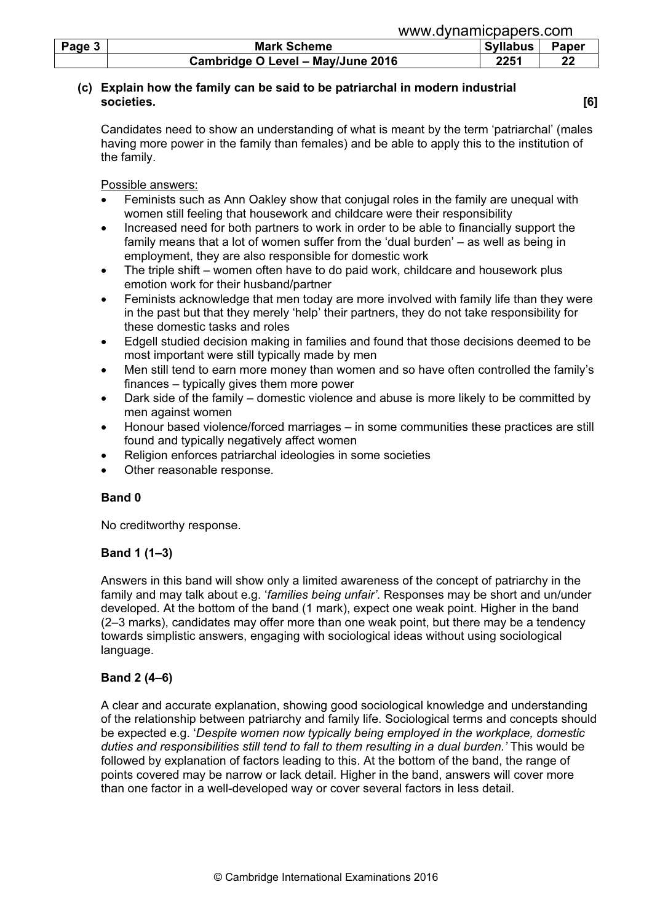| Page 3 | <b>Mark Scheme</b>                | <b>Syllabus</b> | Paper |
|--------|-----------------------------------|-----------------|-------|
|        | Cambridge O Level - May/June 2016 | 2251            | 22    |

# (c) Explain how the family can be said to be patriarchal in modern industrial societies. [6]

Candidates need to show an understanding of what is meant by the term 'patriarchal' (males having more power in the family than females) and be able to apply this to the institution of the family.

Possible answers:

- Feminists such as Ann Oakley show that conjugal roles in the family are unequal with women still feeling that housework and childcare were their responsibility
- Increased need for both partners to work in order to be able to financially support the family means that a lot of women suffer from the 'dual burden' – as well as being in employment, they are also responsible for domestic work
- The triple shift women often have to do paid work, childcare and housework plus emotion work for their husband/partner
- Feminists acknowledge that men today are more involved with family life than they were in the past but that they merely 'help' their partners, they do not take responsibility for these domestic tasks and roles
- Edgell studied decision making in families and found that those decisions deemed to be most important were still typically made by men
- Men still tend to earn more money than women and so have often controlled the family's finances – typically gives them more power
- Dark side of the family domestic violence and abuse is more likely to be committed by men against women
- Honour based violence/forced marriages in some communities these practices are still found and typically negatively affect women
- Religion enforces patriarchal ideologies in some societies
- Other reasonable response.

# Band 0

No creditworthy response.

# Band 1 (1–3)

Answers in this band will show only a limited awareness of the concept of patriarchy in the family and may talk about e.g. 'families being unfair'. Responses may be short and un/under developed. At the bottom of the band (1 mark), expect one weak point. Higher in the band (2–3 marks), candidates may offer more than one weak point, but there may be a tendency towards simplistic answers, engaging with sociological ideas without using sociological language.

# Band 2 (4–6)

A clear and accurate explanation, showing good sociological knowledge and understanding of the relationship between patriarchy and family life. Sociological terms and concepts should be expected e.g. 'Despite women now typically being employed in the workplace, domestic duties and responsibilities still tend to fall to them resulting in a dual burden.' This would be followed by explanation of factors leading to this. At the bottom of the band, the range of points covered may be narrow or lack detail. Higher in the band, answers will cover more than one factor in a well-developed way or cover several factors in less detail.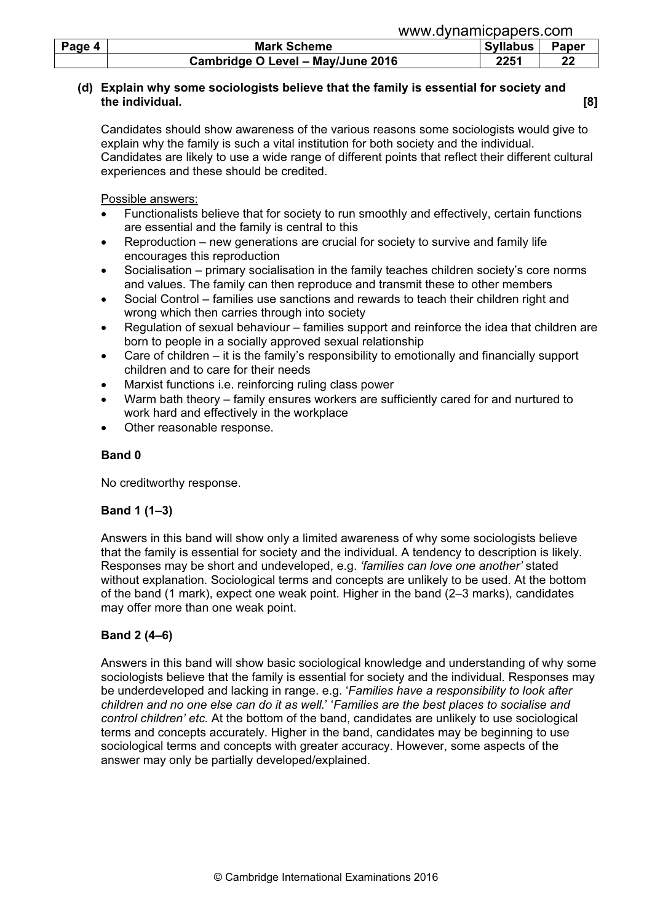| Page 4 | <b>Mark Scheme</b>                |      | Syllabus | Paper |
|--------|-----------------------------------|------|----------|-------|
|        | Cambridge O Level - May/June 2016 | 2251 |          |       |

#### (d) Explain why some sociologists believe that the family is essential for society and the individual. [8]

Candidates should show awareness of the various reasons some sociologists would give to explain why the family is such a vital institution for both society and the individual. Candidates are likely to use a wide range of different points that reflect their different cultural experiences and these should be credited.

Possible answers:

- Functionalists believe that for society to run smoothly and effectively, certain functions are essential and the family is central to this
- Reproduction new generations are crucial for society to survive and family life encourages this reproduction
- Socialisation primary socialisation in the family teaches children society's core norms and values. The family can then reproduce and transmit these to other members
- Social Control families use sanctions and rewards to teach their children right and wrong which then carries through into society
- Regulation of sexual behaviour families support and reinforce the idea that children are born to people in a socially approved sexual relationship
- Care of children it is the family's responsibility to emotionally and financially support children and to care for their needs
- Marxist functions i.e. reinforcing ruling class power
- Warm bath theory family ensures workers are sufficiently cared for and nurtured to work hard and effectively in the workplace
- Other reasonable response.

## Band 0

No creditworthy response.

## Band 1 (1–3)

Answers in this band will show only a limited awareness of why some sociologists believe that the family is essential for society and the individual. A tendency to description is likely. Responses may be short and undeveloped, e.g. 'families can love one another' stated without explanation. Sociological terms and concepts are unlikely to be used. At the bottom of the band (1 mark), expect one weak point. Higher in the band (2–3 marks), candidates may offer more than one weak point.

# Band 2 (4–6)

Answers in this band will show basic sociological knowledge and understanding of why some sociologists believe that the family is essential for society and the individual. Responses may be underdeveloped and lacking in range. e.g. 'Families have a responsibility to look after children and no one else can do it as well.' 'Families are the best places to socialise and control children' etc. At the bottom of the band, candidates are unlikely to use sociological terms and concepts accurately. Higher in the band, candidates may be beginning to use sociological terms and concepts with greater accuracy. However, some aspects of the answer may only be partially developed/explained.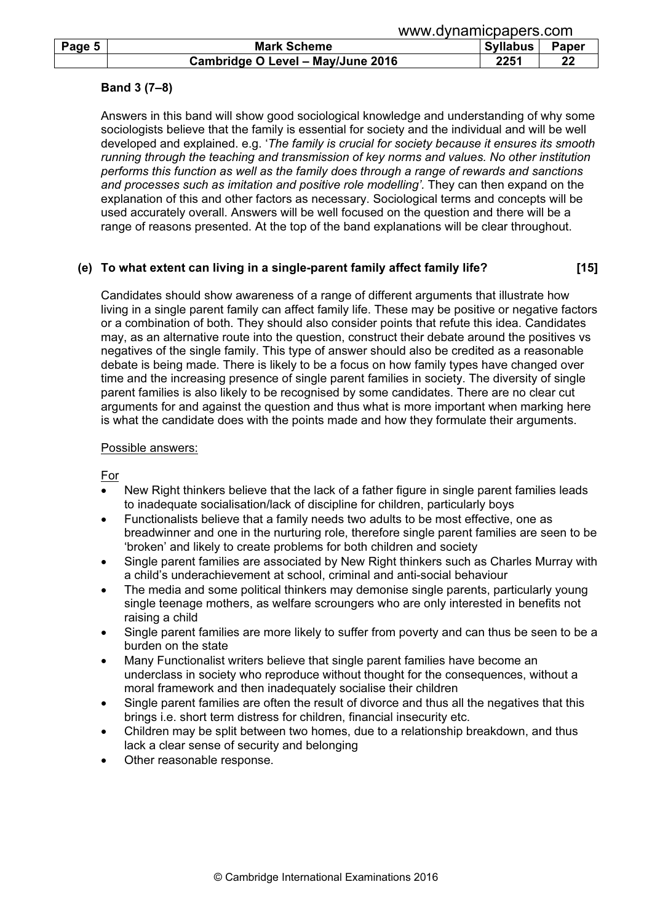|        | www.uvilalliludduudi.culli        |          |       |  |
|--------|-----------------------------------|----------|-------|--|
| Page 5 | <b>Mark Scheme</b>                | Syllabus | Paper |  |
|        | Cambridge O Level - May/June 2016 | 2251     |       |  |

## Band 3 (7–8)

Answers in this band will show good sociological knowledge and understanding of why some sociologists believe that the family is essential for society and the individual and will be well developed and explained. e.g. 'The family is crucial for society because it ensures its smooth running through the teaching and transmission of key norms and values. No other institution performs this function as well as the family does through a range of rewards and sanctions and processes such as imitation and positive role modelling'. They can then expand on the explanation of this and other factors as necessary. Sociological terms and concepts will be used accurately overall. Answers will be well focused on the question and there will be a range of reasons presented. At the top of the band explanations will be clear throughout.

#### (e) To what extent can living in a single-parent family affect family life? [15]

Candidates should show awareness of a range of different arguments that illustrate how living in a single parent family can affect family life. These may be positive or negative factors or a combination of both. They should also consider points that refute this idea. Candidates may, as an alternative route into the question, construct their debate around the positives vs negatives of the single family. This type of answer should also be credited as a reasonable debate is being made. There is likely to be a focus on how family types have changed over time and the increasing presence of single parent families in society. The diversity of single parent families is also likely to be recognised by some candidates. There are no clear cut arguments for and against the question and thus what is more important when marking here is what the candidate does with the points made and how they formulate their arguments.

#### Possible answers:

For

- New Right thinkers believe that the lack of a father figure in single parent families leads to inadequate socialisation/lack of discipline for children, particularly boys
- Functionalists believe that a family needs two adults to be most effective, one as breadwinner and one in the nurturing role, therefore single parent families are seen to be 'broken' and likely to create problems for both children and society
- Single parent families are associated by New Right thinkers such as Charles Murray with a child's underachievement at school, criminal and anti-social behaviour
- The media and some political thinkers may demonise single parents, particularly young single teenage mothers, as welfare scroungers who are only interested in benefits not raising a child
- Single parent families are more likely to suffer from poverty and can thus be seen to be a burden on the state
- Many Functionalist writers believe that single parent families have become an underclass in society who reproduce without thought for the consequences, without a moral framework and then inadequately socialise their children
- Single parent families are often the result of divorce and thus all the negatives that this brings i.e. short term distress for children, financial insecurity etc.
- Children may be split between two homes, due to a relationship breakdown, and thus lack a clear sense of security and belonging
- Other reasonable response.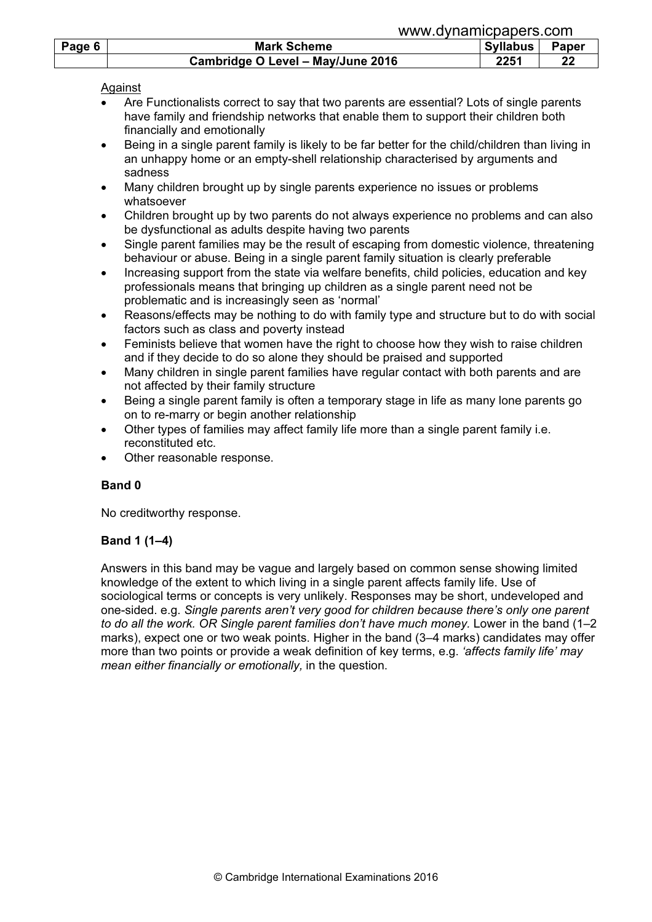|        |                                   | www.dynamicpapers.com |       |  |  |
|--------|-----------------------------------|-----------------------|-------|--|--|
| Page 6 | <b>Mark Scheme</b>                | <b>Syllabus</b>       | Paper |  |  |
|        | Cambridge O Level - May/June 2016 | 2251                  | 22    |  |  |

## Against

- Are Functionalists correct to say that two parents are essential? Lots of single parents have family and friendship networks that enable them to support their children both financially and emotionally
- Being in a single parent family is likely to be far better for the child/children than living in an unhappy home or an empty-shell relationship characterised by arguments and sadness
- Many children brought up by single parents experience no issues or problems whatsoever
- Children brought up by two parents do not always experience no problems and can also be dysfunctional as adults despite having two parents
- Single parent families may be the result of escaping from domestic violence, threatening behaviour or abuse. Being in a single parent family situation is clearly preferable
- Increasing support from the state via welfare benefits, child policies, education and key professionals means that bringing up children as a single parent need not be problematic and is increasingly seen as 'normal'
- Reasons/effects may be nothing to do with family type and structure but to do with social factors such as class and poverty instead
- Feminists believe that women have the right to choose how they wish to raise children and if they decide to do so alone they should be praised and supported
- Many children in single parent families have regular contact with both parents and are not affected by their family structure
- Being a single parent family is often a temporary stage in life as many lone parents go on to re-marry or begin another relationship
- Other types of families may affect family life more than a single parent family i.e. reconstituted etc.
- Other reasonable response.

# Band 0

No creditworthy response.

# Band 1 (1–4)

Answers in this band may be vague and largely based on common sense showing limited knowledge of the extent to which living in a single parent affects family life. Use of sociological terms or concepts is very unlikely. Responses may be short, undeveloped and one-sided. e.g. Single parents aren't very good for children because there's only one parent to do all the work. OR Single parent families don't have much money. Lower in the band (1–2 marks), expect one or two weak points. Higher in the band (3–4 marks) candidates may offer more than two points or provide a weak definition of key terms, e.g. 'affects family life' may mean either financially or emotionally, in the question.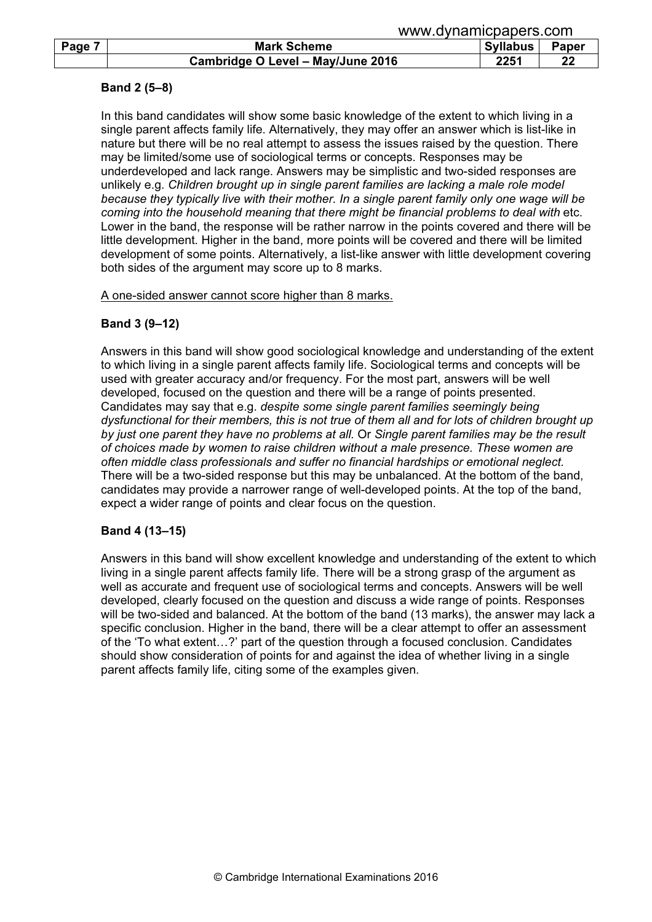|        | www.uyildililopapois.com          |          |       |  |
|--------|-----------------------------------|----------|-------|--|
| Page 7 | <b>Mark Scheme</b>                | Syllabus | Paper |  |
|        | Cambridge O Level - May/June 2016 | 2251     | 22    |  |

## Band 2 (5–8)

In this band candidates will show some basic knowledge of the extent to which living in a single parent affects family life. Alternatively, they may offer an answer which is list-like in nature but there will be no real attempt to assess the issues raised by the question. There may be limited/some use of sociological terms or concepts. Responses may be underdeveloped and lack range. Answers may be simplistic and two-sided responses are unlikely e.g. Children brought up in single parent families are lacking a male role model because they typically live with their mother. In a single parent family only one wage will be coming into the household meaning that there might be financial problems to deal with etc. Lower in the band, the response will be rather narrow in the points covered and there will be little development. Higher in the band, more points will be covered and there will be limited development of some points. Alternatively, a list-like answer with little development covering both sides of the argument may score up to 8 marks.

#### A one-sided answer cannot score higher than 8 marks.

## Band 3 (9–12)

Answers in this band will show good sociological knowledge and understanding of the extent to which living in a single parent affects family life. Sociological terms and concepts will be used with greater accuracy and/or frequency. For the most part, answers will be well developed, focused on the question and there will be a range of points presented. Candidates may say that e.g. despite some single parent families seemingly being dysfunctional for their members, this is not true of them all and for lots of children brought up by just one parent they have no problems at all. Or Single parent families may be the result of choices made by women to raise children without a male presence. These women are often middle class professionals and suffer no financial hardships or emotional neglect. There will be a two-sided response but this may be unbalanced. At the bottom of the band, candidates may provide a narrower range of well-developed points. At the top of the band, expect a wider range of points and clear focus on the question.

## Band 4 (13–15)

Answers in this band will show excellent knowledge and understanding of the extent to which living in a single parent affects family life. There will be a strong grasp of the argument as well as accurate and frequent use of sociological terms and concepts. Answers will be well developed, clearly focused on the question and discuss a wide range of points. Responses will be two-sided and balanced. At the bottom of the band (13 marks), the answer may lack a specific conclusion. Higher in the band, there will be a clear attempt to offer an assessment of the 'To what extent…?' part of the question through a focused conclusion. Candidates should show consideration of points for and against the idea of whether living in a single parent affects family life, citing some of the examples given.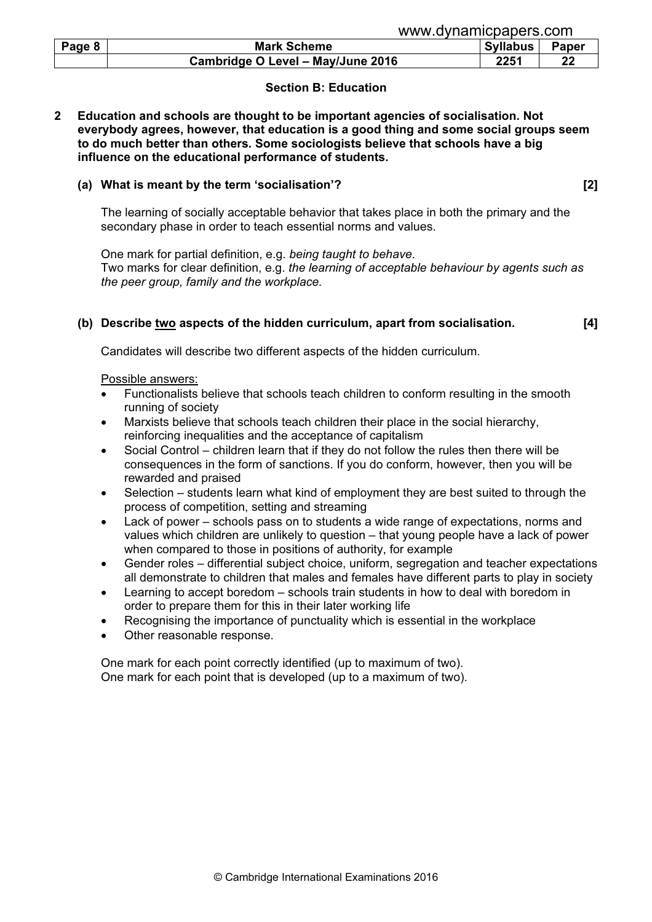| Page 8 | <b>Mark Scheme</b>                | <b>Syllabus</b> | Paper |
|--------|-----------------------------------|-----------------|-------|
|        | Cambridge O Level - May/June 2016 | 2251            | 22    |

## Section B: Education

#### 2 Education and schools are thought to be important agencies of socialisation. Not everybody agrees, however, that education is a good thing and some social groups seem to do much better than others. Some sociologists believe that schools have a big influence on the educational performance of students.

#### (a) What is meant by the term 'socialisation'? [2]

The learning of socially acceptable behavior that takes place in both the primary and the secondary phase in order to teach essential norms and values.

One mark for partial definition, e.g. being taught to behave. Two marks for clear definition, e.g. the learning of acceptable behaviour by agents such as the peer group, family and the workplace.

#### (b) Describe two aspects of the hidden curriculum, apart from socialisation. [4]

Candidates will describe two different aspects of the hidden curriculum.

Possible answers:

- Functionalists believe that schools teach children to conform resulting in the smooth running of society
- Marxists believe that schools teach children their place in the social hierarchy, reinforcing inequalities and the acceptance of capitalism
- Social Control children learn that if they do not follow the rules then there will be consequences in the form of sanctions. If you do conform, however, then you will be rewarded and praised
- Selection students learn what kind of employment they are best suited to through the process of competition, setting and streaming
- Lack of power schools pass on to students a wide range of expectations, norms and values which children are unlikely to question – that young people have a lack of power when compared to those in positions of authority, for example
- Gender roles differential subject choice, uniform, segregation and teacher expectations all demonstrate to children that males and females have different parts to play in society
- Learning to accept boredom schools train students in how to deal with boredom in order to prepare them for this in their later working life
- Recognising the importance of punctuality which is essential in the workplace
- Other reasonable response.

One mark for each point correctly identified (up to maximum of two). One mark for each point that is developed (up to a maximum of two).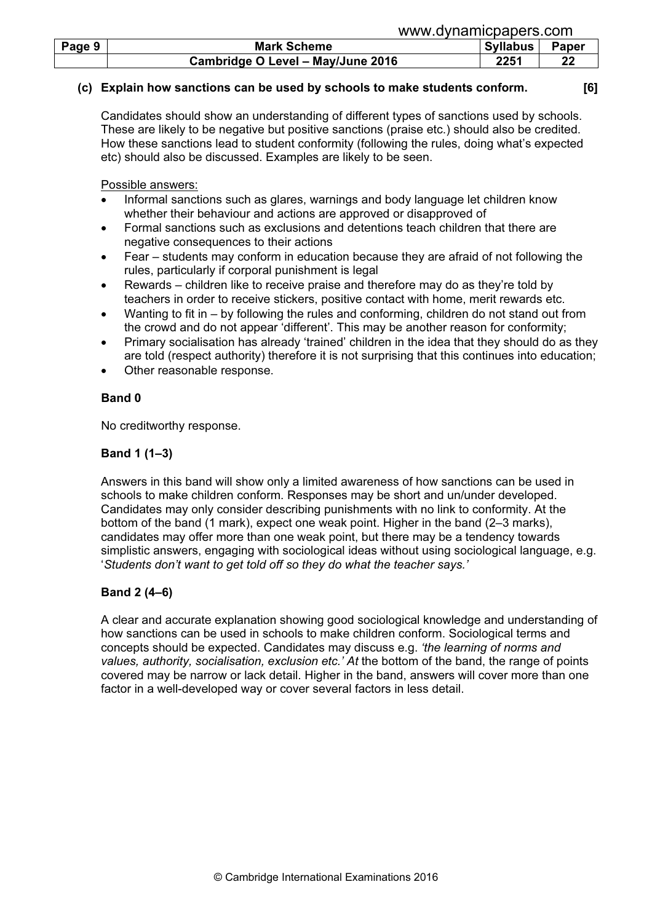|        | www.uvilalilluuduutis.uulli       |            |       |  |
|--------|-----------------------------------|------------|-------|--|
| Page 9 | <b>Mark Scheme</b>                | Syllabus I | Paper |  |
|        | Cambridge O Level - May/June 2016 | 2251       | 22    |  |

#### (c) Explain how sanctions can be used by schools to make students conform. [6]

www.dynamicpapers.com

Candidates should show an understanding of different types of sanctions used by schools. These are likely to be negative but positive sanctions (praise etc.) should also be credited. How these sanctions lead to student conformity (following the rules, doing what's expected etc) should also be discussed. Examples are likely to be seen.

Possible answers:

- Informal sanctions such as glares, warnings and body language let children know whether their behaviour and actions are approved or disapproved of
- Formal sanctions such as exclusions and detentions teach children that there are negative consequences to their actions
- Fear students may conform in education because they are afraid of not following the rules, particularly if corporal punishment is legal
- Rewards children like to receive praise and therefore may do as they're told by teachers in order to receive stickers, positive contact with home, merit rewards etc.
- Wanting to fit in by following the rules and conforming, children do not stand out from the crowd and do not appear 'different'. This may be another reason for conformity;
- Primary socialisation has already 'trained' children in the idea that they should do as they are told (respect authority) therefore it is not surprising that this continues into education;
- Other reasonable response.

## Band 0

No creditworthy response.

## Band 1 (1–3)

Answers in this band will show only a limited awareness of how sanctions can be used in schools to make children conform. Responses may be short and un/under developed. Candidates may only consider describing punishments with no link to conformity. At the bottom of the band (1 mark), expect one weak point. Higher in the band (2–3 marks), candidates may offer more than one weak point, but there may be a tendency towards simplistic answers, engaging with sociological ideas without using sociological language, e.g. 'Students don't want to get told off so they do what the teacher says.'

## Band 2 (4–6)

A clear and accurate explanation showing good sociological knowledge and understanding of how sanctions can be used in schools to make children conform. Sociological terms and concepts should be expected. Candidates may discuss e.g. 'the learning of norms and values, authority, socialisation, exclusion etc.' At the bottom of the band, the range of points covered may be narrow or lack detail. Higher in the band, answers will cover more than one factor in a well-developed way or cover several factors in less detail.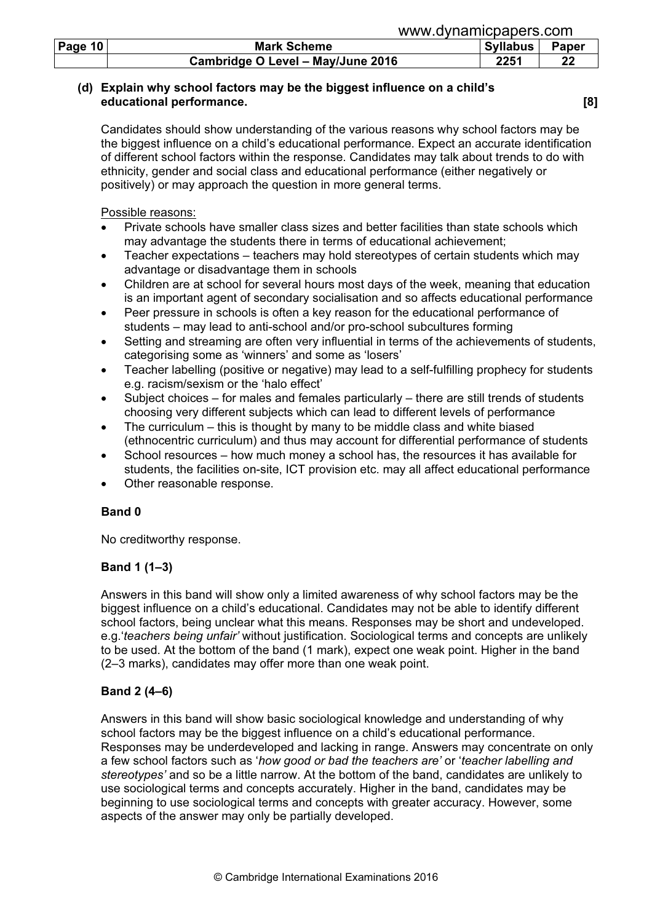| Page $10$ | <b>Mark Scheme</b>                | <b>Syllabus</b> | <b>Paper</b> |
|-----------|-----------------------------------|-----------------|--------------|
|           | Cambridge O Level - May/June 2016 | 2251            | າາ           |

## (d) Explain why school factors may be the biggest influence on a child's educational performance. [8]

Candidates should show understanding of the various reasons why school factors may be the biggest influence on a child's educational performance. Expect an accurate identification of different school factors within the response. Candidates may talk about trends to do with ethnicity, gender and social class and educational performance (either negatively or positively) or may approach the question in more general terms.

Possible reasons:

- Private schools have smaller class sizes and better facilities than state schools which may advantage the students there in terms of educational achievement;
- Teacher expectations teachers may hold stereotypes of certain students which may advantage or disadvantage them in schools
- Children are at school for several hours most days of the week, meaning that education is an important agent of secondary socialisation and so affects educational performance
- Peer pressure in schools is often a key reason for the educational performance of students – may lead to anti-school and/or pro-school subcultures forming
- Setting and streaming are often very influential in terms of the achievements of students, categorising some as 'winners' and some as 'losers'
- Teacher labelling (positive or negative) may lead to a self-fulfilling prophecy for students e.g. racism/sexism or the 'halo effect'
- Subject choices for males and females particularly there are still trends of students choosing very different subjects which can lead to different levels of performance
- The curriculum  $-$  this is thought by many to be middle class and white biased (ethnocentric curriculum) and thus may account for differential performance of students
- School resources how much money a school has, the resources it has available for students, the facilities on-site, ICT provision etc. may all affect educational performance
- Other reasonable response.

# Band 0

No creditworthy response.

## Band 1 (1–3)

Answers in this band will show only a limited awareness of why school factors may be the biggest influence on a child's educational. Candidates may not be able to identify different school factors, being unclear what this means. Responses may be short and undeveloped. e.g.'teachers being unfair' without justification. Sociological terms and concepts are unlikely to be used. At the bottom of the band (1 mark), expect one weak point. Higher in the band (2–3 marks), candidates may offer more than one weak point.

# Band 2 (4–6)

Answers in this band will show basic sociological knowledge and understanding of why school factors may be the biggest influence on a child's educational performance. Responses may be underdeveloped and lacking in range. Answers may concentrate on only a few school factors such as 'how good or bad the teachers are' or 'teacher labelling and stereotypes' and so be a little narrow. At the bottom of the band, candidates are unlikely to use sociological terms and concepts accurately. Higher in the band, candidates may be beginning to use sociological terms and concepts with greater accuracy. However, some aspects of the answer may only be partially developed.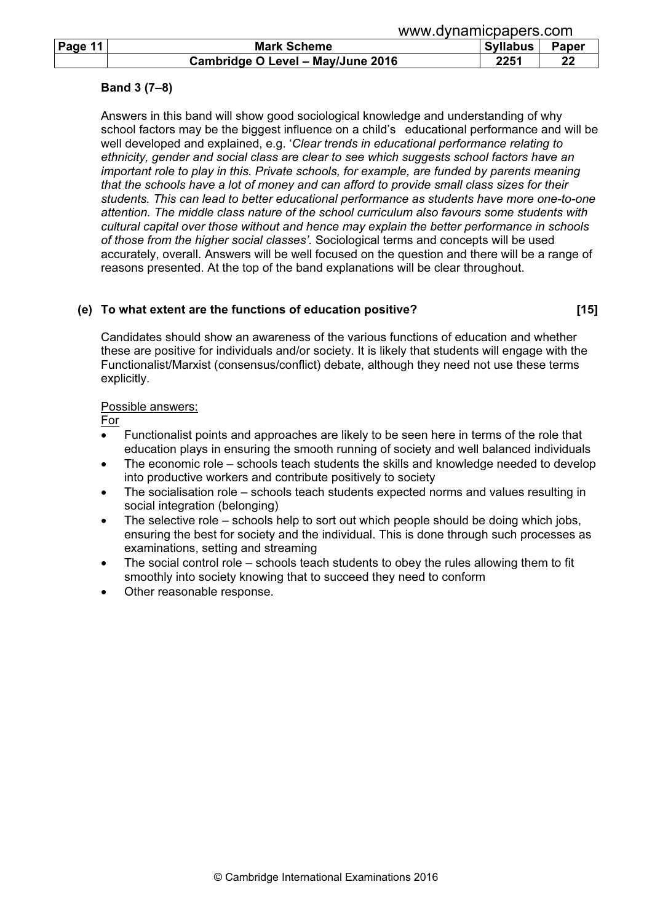|         | www.dynamicpapers.com             |                 |       |  |
|---------|-----------------------------------|-----------------|-------|--|
| Page 11 | <b>Mark Scheme</b>                | <b>Syllabus</b> | Paper |  |
|         | Cambridge O Level - May/June 2016 | 2251            | 22    |  |

## Band 3 (7–8)

Answers in this band will show good sociological knowledge and understanding of why school factors may be the biggest influence on a child's educational performance and will be well developed and explained, e.g. 'Clear trends in educational performance relating to ethnicity, gender and social class are clear to see which suggests school factors have an important role to play in this. Private schools, for example, are funded by parents meaning that the schools have a lot of money and can afford to provide small class sizes for their students. This can lead to better educational performance as students have more one-to-one attention. The middle class nature of the school curriculum also favours some students with cultural capital over those without and hence may explain the better performance in schools of those from the higher social classes'. Sociological terms and concepts will be used accurately, overall. Answers will be well focused on the question and there will be a range of reasons presented. At the top of the band explanations will be clear throughout.

## (e) To what extent are the functions of education positive? [15]

Candidates should show an awareness of the various functions of education and whether these are positive for individuals and/or society. It is likely that students will engage with the Functionalist/Marxist (consensus/conflict) debate, although they need not use these terms explicitly.

## Possible answers:

For

- Functionalist points and approaches are likely to be seen here in terms of the role that education plays in ensuring the smooth running of society and well balanced individuals
- The economic role schools teach students the skills and knowledge needed to develop into productive workers and contribute positively to society
- The socialisation role schools teach students expected norms and values resulting in social integration (belonging)
- The selective role schools help to sort out which people should be doing which jobs, ensuring the best for society and the individual. This is done through such processes as examinations, setting and streaming
- The social control role schools teach students to obey the rules allowing them to fit smoothly into society knowing that to succeed they need to conform
- Other reasonable response.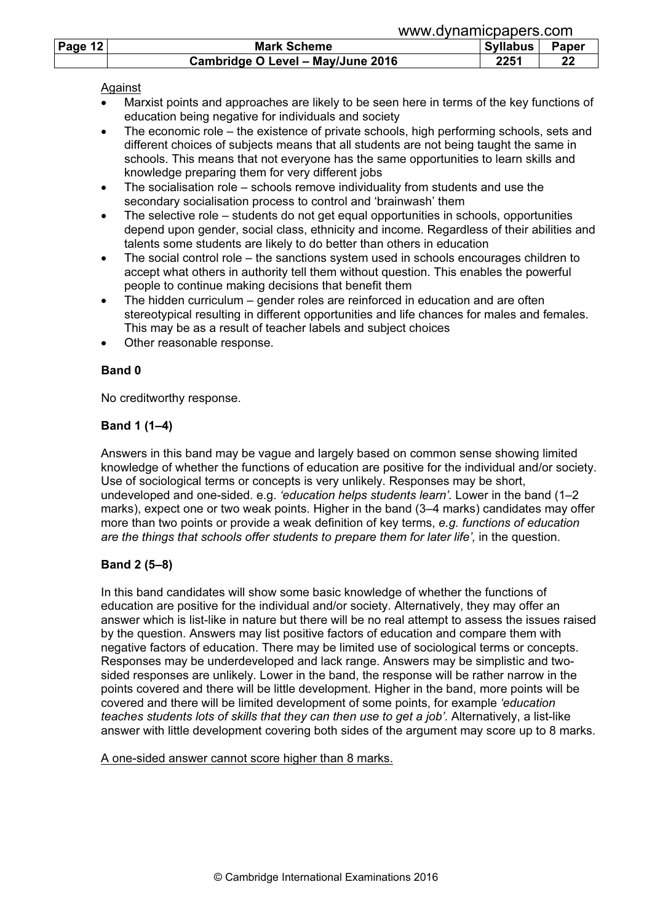|         | www.uvilalilluuduutis.uulil       |            |       |  |
|---------|-----------------------------------|------------|-------|--|
| Page 12 | <b>Mark Scheme</b>                | Syllabus I | Paper |  |
|         | Cambridge O Level - May/June 2016 | 2251       | 22    |  |

## Against

• Marxist points and approaches are likely to be seen here in terms of the key functions of education being negative for individuals and society

www.dynamicpapers.com

- The economic role the existence of private schools, high performing schools, sets and different choices of subjects means that all students are not being taught the same in schools. This means that not everyone has the same opportunities to learn skills and knowledge preparing them for very different jobs
- The socialisation role schools remove individuality from students and use the secondary socialisation process to control and 'brainwash' them
- The selective role students do not get equal opportunities in schools, opportunities depend upon gender, social class, ethnicity and income. Regardless of their abilities and talents some students are likely to do better than others in education
- The social control role the sanctions system used in schools encourages children to accept what others in authority tell them without question. This enables the powerful people to continue making decisions that benefit them
- The hidden curriculum gender roles are reinforced in education and are often stereotypical resulting in different opportunities and life chances for males and females. This may be as a result of teacher labels and subject choices
- Other reasonable response.

# Band 0

No creditworthy response.

# Band 1 (1–4)

Answers in this band may be vague and largely based on common sense showing limited knowledge of whether the functions of education are positive for the individual and/or society. Use of sociological terms or concepts is very unlikely. Responses may be short, undeveloped and one-sided. e.g. 'education helps students learn'. Lower in the band (1-2 marks), expect one or two weak points. Higher in the band (3–4 marks) candidates may offer more than two points or provide a weak definition of key terms, e.g. functions of education are the things that schools offer students to prepare them for later life', in the question.

# Band 2 (5–8)

In this band candidates will show some basic knowledge of whether the functions of education are positive for the individual and/or society. Alternatively, they may offer an answer which is list-like in nature but there will be no real attempt to assess the issues raised by the question. Answers may list positive factors of education and compare them with negative factors of education. There may be limited use of sociological terms or concepts. Responses may be underdeveloped and lack range. Answers may be simplistic and twosided responses are unlikely. Lower in the band, the response will be rather narrow in the points covered and there will be little development. Higher in the band, more points will be covered and there will be limited development of some points, for example 'education teaches students lots of skills that they can then use to get a job'. Alternatively, a list-like answer with little development covering both sides of the argument may score up to 8 marks.

A one-sided answer cannot score higher than 8 marks.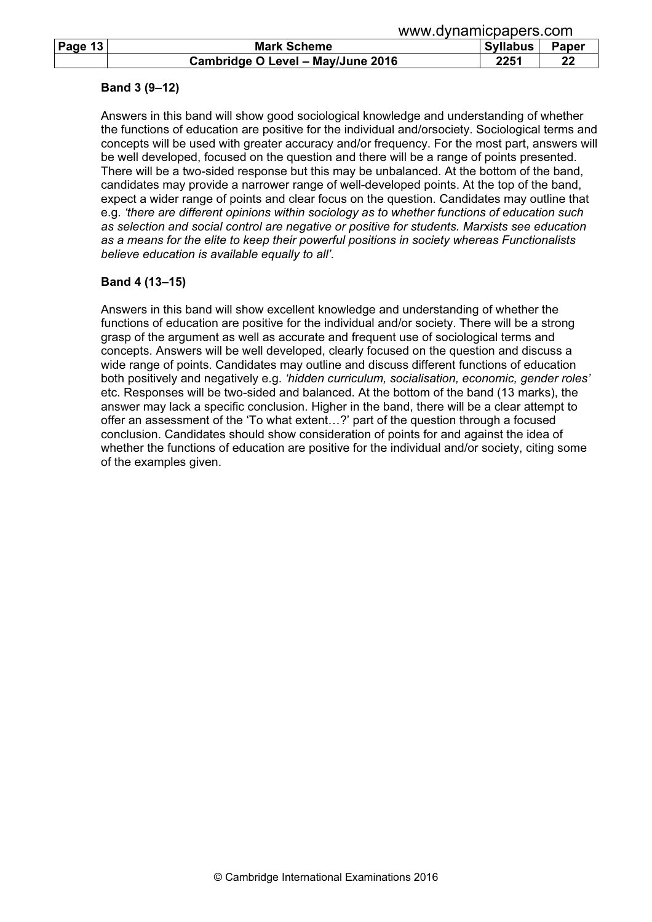|         | www.gvilghliopapois.com           |                 |       |  |
|---------|-----------------------------------|-----------------|-------|--|
| Page 13 | <b>Mark Scheme</b>                | <b>Syllabus</b> | Paper |  |
|         | Cambridge O Level - May/June 2016 | 2251            | 22    |  |

#### Band 3 (9–12)

Answers in this band will show good sociological knowledge and understanding of whether the functions of education are positive for the individual and/orsociety. Sociological terms and concepts will be used with greater accuracy and/or frequency. For the most part, answers will be well developed, focused on the question and there will be a range of points presented. There will be a two-sided response but this may be unbalanced. At the bottom of the band, candidates may provide a narrower range of well-developed points. At the top of the band, expect a wider range of points and clear focus on the question. Candidates may outline that e.g. 'there are different opinions within sociology as to whether functions of education such as selection and social control are negative or positive for students. Marxists see education as a means for the elite to keep their powerful positions in society whereas Functionalists believe education is available equally to all'.

## Band 4 (13–15)

Answers in this band will show excellent knowledge and understanding of whether the functions of education are positive for the individual and/or society. There will be a strong grasp of the argument as well as accurate and frequent use of sociological terms and concepts. Answers will be well developed, clearly focused on the question and discuss a wide range of points. Candidates may outline and discuss different functions of education both positively and negatively e.g. 'hidden curriculum, socialisation, economic, gender roles' etc. Responses will be two-sided and balanced. At the bottom of the band (13 marks), the answer may lack a specific conclusion. Higher in the band, there will be a clear attempt to offer an assessment of the 'To what extent…?' part of the question through a focused conclusion. Candidates should show consideration of points for and against the idea of whether the functions of education are positive for the individual and/or society, citing some of the examples given.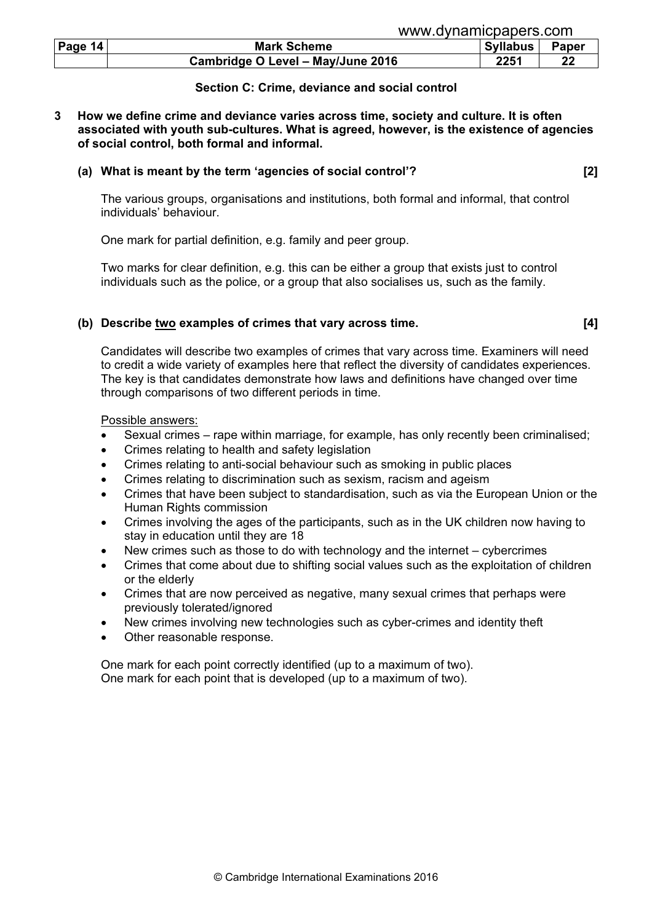| Page $14$ | <b>Mark Scheme</b>                | <b>Syllabus</b> | <b>Paper</b> |
|-----------|-----------------------------------|-----------------|--------------|
|           | Cambridge O Level - May/June 2016 | 2251            |              |

#### Section C: Crime, deviance and social control

3 How we define crime and deviance varies across time, society and culture. It is often associated with youth sub-cultures. What is agreed, however, is the existence of agencies of social control, both formal and informal.

#### (a) What is meant by the term 'agencies of social control'? [2]

 The various groups, organisations and institutions, both formal and informal, that control individuals' behaviour.

One mark for partial definition, e.g. family and peer group.

 Two marks for clear definition, e.g. this can be either a group that exists just to control individuals such as the police, or a group that also socialises us, such as the family.

#### (b) Describe two examples of crimes that vary across time. [4]

 Candidates will describe two examples of crimes that vary across time. Examiners will need to credit a wide variety of examples here that reflect the diversity of candidates experiences. The key is that candidates demonstrate how laws and definitions have changed over time through comparisons of two different periods in time.

Possible answers:

- Sexual crimes rape within marriage, for example, has only recently been criminalised;
- Crimes relating to health and safety legislation
- Crimes relating to anti-social behaviour such as smoking in public places
- Crimes relating to discrimination such as sexism, racism and ageism
- Crimes that have been subject to standardisation, such as via the European Union or the Human Rights commission
- Crimes involving the ages of the participants, such as in the UK children now having to stay in education until they are 18
- New crimes such as those to do with technology and the internet cybercrimes
- Crimes that come about due to shifting social values such as the exploitation of children or the elderly
- Crimes that are now perceived as negative, many sexual crimes that perhaps were previously tolerated/ignored
- New crimes involving new technologies such as cyber-crimes and identity theft
- Other reasonable response.

 One mark for each point correctly identified (up to a maximum of two). One mark for each point that is developed (up to a maximum of two).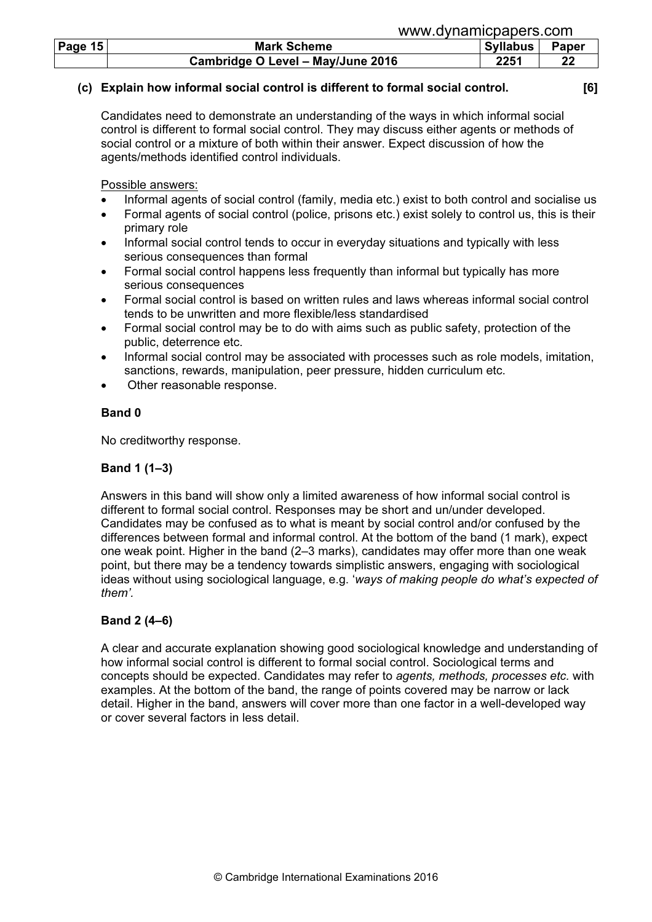|           | www.gvillallillupapels.com        |                 |       |  |
|-----------|-----------------------------------|-----------------|-------|--|
| Page $15$ | <b>Mark Scheme</b>                | <b>Syllabus</b> | Paper |  |
|           | Cambridge O Level - May/June 2016 | 2251            | 22    |  |

## (c) Explain how informal social control is different to formal social control. [6]

www.dynamicpapers.com

Candidates need to demonstrate an understanding of the ways in which informal social control is different to formal social control. They may discuss either agents or methods of social control or a mixture of both within their answer. Expect discussion of how the agents/methods identified control individuals.

Possible answers:

- Informal agents of social control (family, media etc.) exist to both control and socialise us
- Formal agents of social control (police, prisons etc.) exist solely to control us, this is their primary role
- Informal social control tends to occur in everyday situations and typically with less serious consequences than formal
- Formal social control happens less frequently than informal but typically has more serious consequences
- Formal social control is based on written rules and laws whereas informal social control tends to be unwritten and more flexible/less standardised
- Formal social control may be to do with aims such as public safety, protection of the public, deterrence etc.
- Informal social control may be associated with processes such as role models, imitation, sanctions, rewards, manipulation, peer pressure, hidden curriculum etc.
- Other reasonable response.

# Band 0

No creditworthy response.

# Band 1 (1–3)

Answers in this band will show only a limited awareness of how informal social control is different to formal social control. Responses may be short and un/under developed. Candidates may be confused as to what is meant by social control and/or confused by the differences between formal and informal control. At the bottom of the band (1 mark), expect one weak point. Higher in the band (2–3 marks), candidates may offer more than one weak point, but there may be a tendency towards simplistic answers, engaging with sociological ideas without using sociological language, e.g. 'ways of making people do what's expected of them'.

# Band 2 (4–6)

A clear and accurate explanation showing good sociological knowledge and understanding of how informal social control is different to formal social control. Sociological terms and concepts should be expected. Candidates may refer to agents, methods, processes etc. with examples. At the bottom of the band, the range of points covered may be narrow or lack detail. Higher in the band, answers will cover more than one factor in a well-developed way or cover several factors in less detail.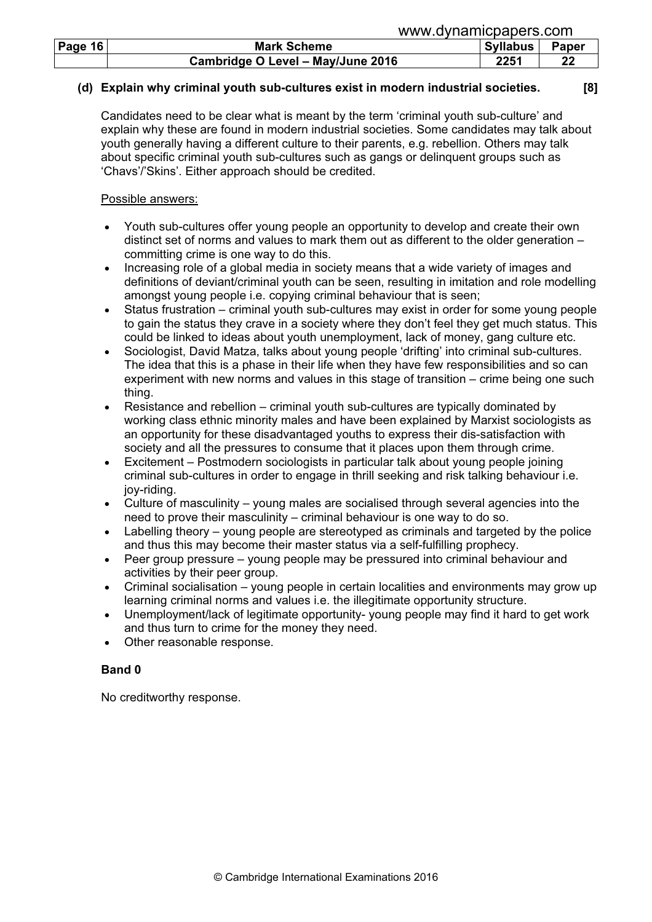|                | www.gvillallillupapels.com        |                 |       |  |
|----------------|-----------------------------------|-----------------|-------|--|
| <b>Page 16</b> | <b>Mark Scheme</b>                | <b>Syllabus</b> | Paper |  |
|                | Cambridge O Level - May/June 2016 | 2251            | 22    |  |

## (d) Explain why criminal youth sub-cultures exist in modern industrial societies. [8]

Candidates need to be clear what is meant by the term 'criminal youth sub-culture' and explain why these are found in modern industrial societies. Some candidates may talk about youth generally having a different culture to their parents, e.g. rebellion. Others may talk about specific criminal youth sub-cultures such as gangs or delinquent groups such as 'Chavs'/'Skins'. Either approach should be credited.

www.dynamicpapers.com

## Possible answers:

- Youth sub-cultures offer young people an opportunity to develop and create their own distinct set of norms and values to mark them out as different to the older generation – committing crime is one way to do this.
- Increasing role of a global media in society means that a wide variety of images and definitions of deviant/criminal youth can be seen, resulting in imitation and role modelling amongst young people i.e. copying criminal behaviour that is seen;
- Status frustration criminal youth sub-cultures may exist in order for some young people to gain the status they crave in a society where they don't feel they get much status. This could be linked to ideas about youth unemployment, lack of money, gang culture etc.
- Sociologist, David Matza, talks about young people 'drifting' into criminal sub-cultures. The idea that this is a phase in their life when they have few responsibilities and so can experiment with new norms and values in this stage of transition – crime being one such thing.
- Resistance and rebellion criminal youth sub-cultures are typically dominated by working class ethnic minority males and have been explained by Marxist sociologists as an opportunity for these disadvantaged youths to express their dis-satisfaction with society and all the pressures to consume that it places upon them through crime.
- Excitement Postmodern sociologists in particular talk about young people joining criminal sub-cultures in order to engage in thrill seeking and risk talking behaviour i.e. joy-riding.
- Culture of masculinity young males are socialised through several agencies into the need to prove their masculinity – criminal behaviour is one way to do so.
- Labelling theory young people are stereotyped as criminals and targeted by the police and thus this may become their master status via a self-fulfilling prophecy.
- Peer group pressure young people may be pressured into criminal behaviour and activities by their peer group.
- Criminal socialisation young people in certain localities and environments may grow up learning criminal norms and values i.e. the illegitimate opportunity structure.
- Unemployment/lack of legitimate opportunity- young people may find it hard to get work and thus turn to crime for the money they need.
- Other reasonable response.

# Band 0

No creditworthy response.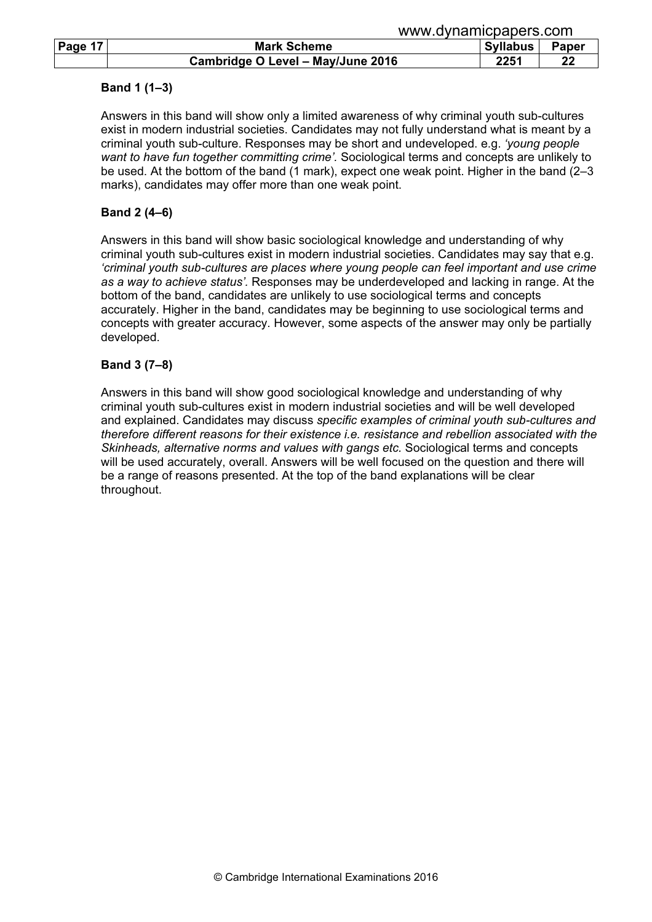## Band 1 (1–3)

Answers in this band will show only a limited awareness of why criminal youth sub-cultures exist in modern industrial societies. Candidates may not fully understand what is meant by a criminal youth sub-culture. Responses may be short and undeveloped. e.g. 'young people want to have fun together committing crime'. Sociological terms and concepts are unlikely to be used. At the bottom of the band (1 mark), expect one weak point. Higher in the band (2–3 marks), candidates may offer more than one weak point.

# Band 2 (4–6)

Answers in this band will show basic sociological knowledge and understanding of why criminal youth sub-cultures exist in modern industrial societies. Candidates may say that e.g. 'criminal youth sub-cultures are places where young people can feel important and use crime as a way to achieve status'. Responses may be underdeveloped and lacking in range. At the bottom of the band, candidates are unlikely to use sociological terms and concepts accurately. Higher in the band, candidates may be beginning to use sociological terms and concepts with greater accuracy. However, some aspects of the answer may only be partially developed.

## Band 3 (7–8)

Answers in this band will show good sociological knowledge and understanding of why criminal youth sub-cultures exist in modern industrial societies and will be well developed and explained. Candidates may discuss specific examples of criminal youth sub-cultures and therefore different reasons for their existence i.e. resistance and rebellion associated with the Skinheads, alternative norms and values with gangs etc. Sociological terms and concepts will be used accurately, overall. Answers will be well focused on the question and there will be a range of reasons presented. At the top of the band explanations will be clear throughout.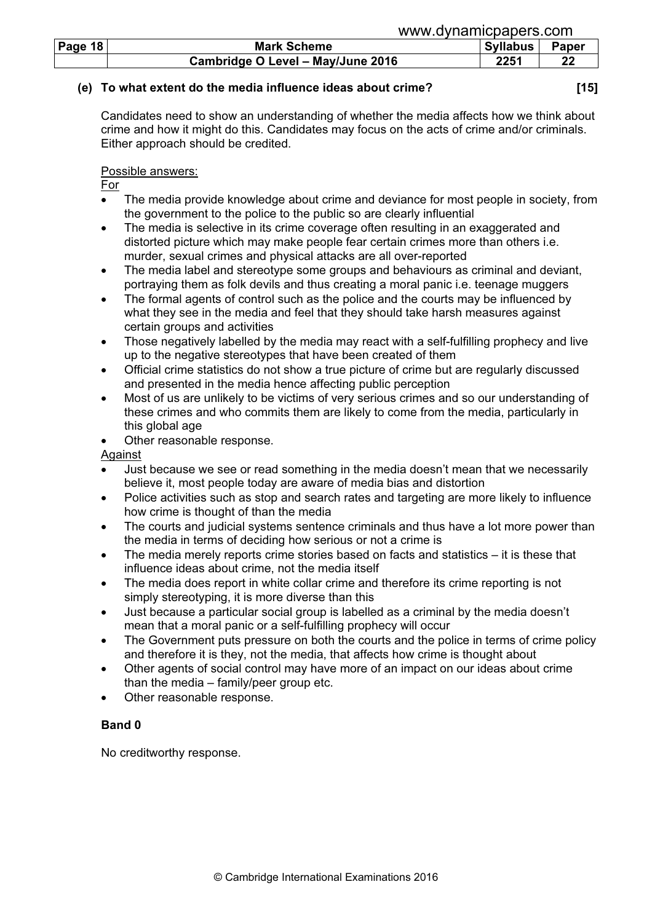|           | www.uvilalillcpapers.com          |                 |       |  |
|-----------|-----------------------------------|-----------------|-------|--|
| Page $18$ | <b>Mark Scheme</b>                | <b>Syllabus</b> | Paper |  |
|           | Cambridge O Level - May/June 2016 | 2251            | 22    |  |

## (e) To what extent do the media influence ideas about crime? [15]

ww.dynamicpapers.com

Candidates need to show an understanding of whether the media affects how we think about crime and how it might do this. Candidates may focus on the acts of crime and/or criminals. Either approach should be credited.

## Possible answers:

For

- The media provide knowledge about crime and deviance for most people in society. from the government to the police to the public so are clearly influential
- The media is selective in its crime coverage often resulting in an exaggerated and distorted picture which may make people fear certain crimes more than others i.e. murder, sexual crimes and physical attacks are all over-reported
- The media label and stereotype some groups and behaviours as criminal and deviant, portraying them as folk devils and thus creating a moral panic i.e. teenage muggers
- The formal agents of control such as the police and the courts may be influenced by what they see in the media and feel that they should take harsh measures against certain groups and activities
- Those negatively labelled by the media may react with a self-fulfilling prophecy and live up to the negative stereotypes that have been created of them
- Official crime statistics do not show a true picture of crime but are regularly discussed and presented in the media hence affecting public perception
- Most of us are unlikely to be victims of very serious crimes and so our understanding of these crimes and who commits them are likely to come from the media, particularly in this global age
- Other reasonable response.

Against

- Just because we see or read something in the media doesn't mean that we necessarily believe it, most people today are aware of media bias and distortion
- Police activities such as stop and search rates and targeting are more likely to influence how crime is thought of than the media
- The courts and judicial systems sentence criminals and thus have a lot more power than the media in terms of deciding how serious or not a crime is
- The media merely reports crime stories based on facts and statistics  $-$  it is these that influence ideas about crime, not the media itself
- The media does report in white collar crime and therefore its crime reporting is not simply stereotyping, it is more diverse than this
- Just because a particular social group is labelled as a criminal by the media doesn't mean that a moral panic or a self-fulfilling prophecy will occur
- The Government puts pressure on both the courts and the police in terms of crime policy and therefore it is they, not the media, that affects how crime is thought about
- Other agents of social control may have more of an impact on our ideas about crime than the media – family/peer group etc.
- Other reasonable response.

# Band 0

No creditworthy response.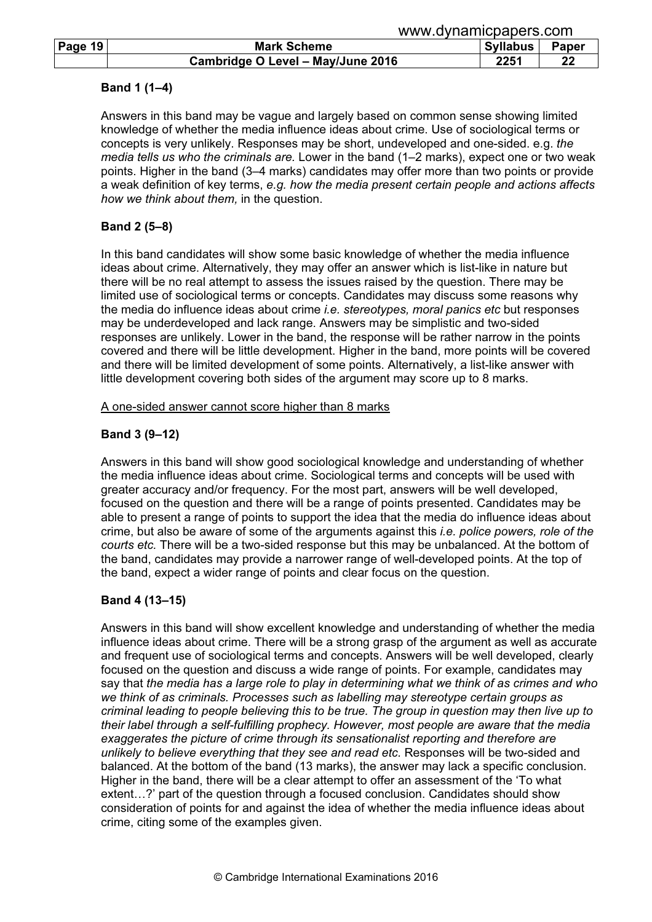## Band 1 (1–4)

Answers in this band may be vague and largely based on common sense showing limited knowledge of whether the media influence ideas about crime. Use of sociological terms or concepts is very unlikely. Responses may be short, undeveloped and one-sided. e.g. the media tells us who the criminals are. Lower in the band (1–2 marks), expect one or two weak points. Higher in the band (3–4 marks) candidates may offer more than two points or provide a weak definition of key terms, e.g. how the media present certain people and actions affects how we think about them, in the question.

## Band 2 (5–8)

In this band candidates will show some basic knowledge of whether the media influence ideas about crime. Alternatively, they may offer an answer which is list-like in nature but there will be no real attempt to assess the issues raised by the question. There may be limited use of sociological terms or concepts. Candidates may discuss some reasons why the media do influence ideas about crime *i.e. stereotypes, moral panics etc* but responses may be underdeveloped and lack range. Answers may be simplistic and two-sided responses are unlikely. Lower in the band, the response will be rather narrow in the points covered and there will be little development. Higher in the band, more points will be covered and there will be limited development of some points. Alternatively, a list-like answer with little development covering both sides of the argument may score up to 8 marks.

#### A one-sided answer cannot score higher than 8 marks

## Band 3 (9–12)

Answers in this band will show good sociological knowledge and understanding of whether the media influence ideas about crime. Sociological terms and concepts will be used with greater accuracy and/or frequency. For the most part, answers will be well developed, focused on the question and there will be a range of points presented. Candidates may be able to present a range of points to support the idea that the media do influence ideas about crime, but also be aware of some of the arguments against this *i.e. police powers, role of the* courts etc. There will be a two-sided response but this may be unbalanced. At the bottom of the band, candidates may provide a narrower range of well-developed points. At the top of the band, expect a wider range of points and clear focus on the question.

## Band 4 (13–15)

Answers in this band will show excellent knowledge and understanding of whether the media influence ideas about crime. There will be a strong grasp of the argument as well as accurate and frequent use of sociological terms and concepts. Answers will be well developed, clearly focused on the question and discuss a wide range of points. For example, candidates may say that the media has a large role to play in determining what we think of as crimes and who we think of as criminals. Processes such as labelling may stereotype certain groups as criminal leading to people believing this to be true. The group in question may then live up to their label through a self-fulfilling prophecy. However, most people are aware that the media exaggerates the picture of crime through its sensationalist reporting and therefore are unlikely to believe everything that they see and read etc. Responses will be two-sided and balanced. At the bottom of the band (13 marks), the answer may lack a specific conclusion. Higher in the band, there will be a clear attempt to offer an assessment of the 'To what extent…?' part of the question through a focused conclusion. Candidates should show consideration of points for and against the idea of whether the media influence ideas about crime, citing some of the examples given.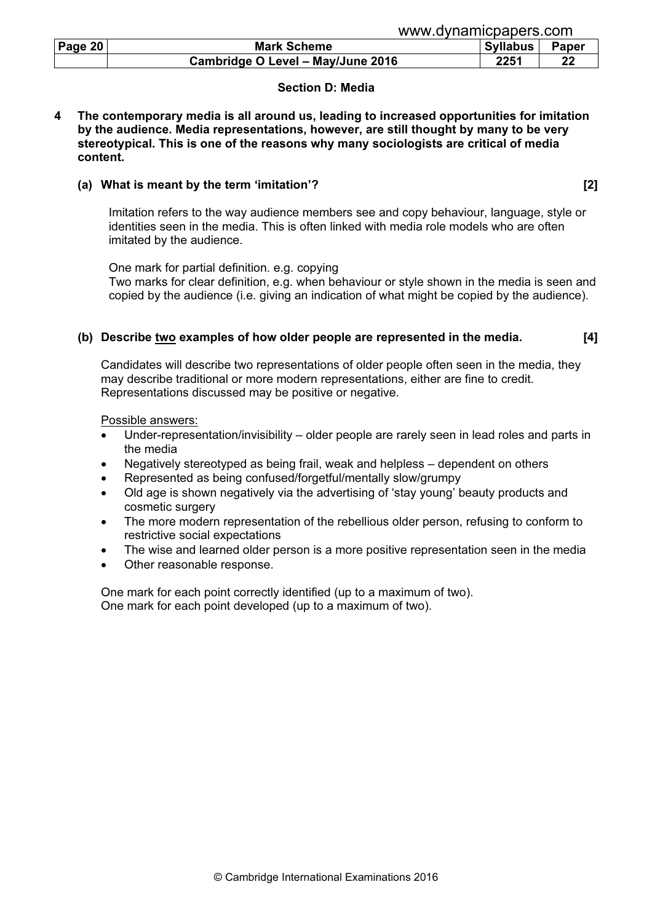| www.dynamicpapers.com |  |
|-----------------------|--|
|                       |  |
|                       |  |

| Page $20$ | <b>Mark Scheme</b>                | <b>Syllabus</b> | <b>Paper</b> |
|-----------|-----------------------------------|-----------------|--------------|
|           | Cambridge O Level - May/June 2016 | 2251            |              |

## Section D: Media

4 The contemporary media is all around us, leading to increased opportunities for imitation by the audience. Media representations, however, are still thought by many to be very stereotypical. This is one of the reasons why many sociologists are critical of media content.

## (a) What is meant by the term 'imitation'? [2]

Imitation refers to the way audience members see and copy behaviour, language, style or identities seen in the media. This is often linked with media role models who are often imitated by the audience.

One mark for partial definition. e.g. copying Two marks for clear definition, e.g. when behaviour or style shown in the media is seen and copied by the audience (i.e. giving an indication of what might be copied by the audience).

## (b) Describe two examples of how older people are represented in the media. [4]

Candidates will describe two representations of older people often seen in the media, they may describe traditional or more modern representations, either are fine to credit. Representations discussed may be positive or negative.

Possible answers:

- Under-representation/invisibility older people are rarely seen in lead roles and parts in the media
- Negatively stereotyped as being frail, weak and helpless dependent on others
- Represented as being confused/forgetful/mentally slow/grumpy
- Old age is shown negatively via the advertising of 'stay young' beauty products and cosmetic surgery
- The more modern representation of the rebellious older person, refusing to conform to restrictive social expectations
- The wise and learned older person is a more positive representation seen in the media
- Other reasonable response.

One mark for each point correctly identified (up to a maximum of two). One mark for each point developed (up to a maximum of two).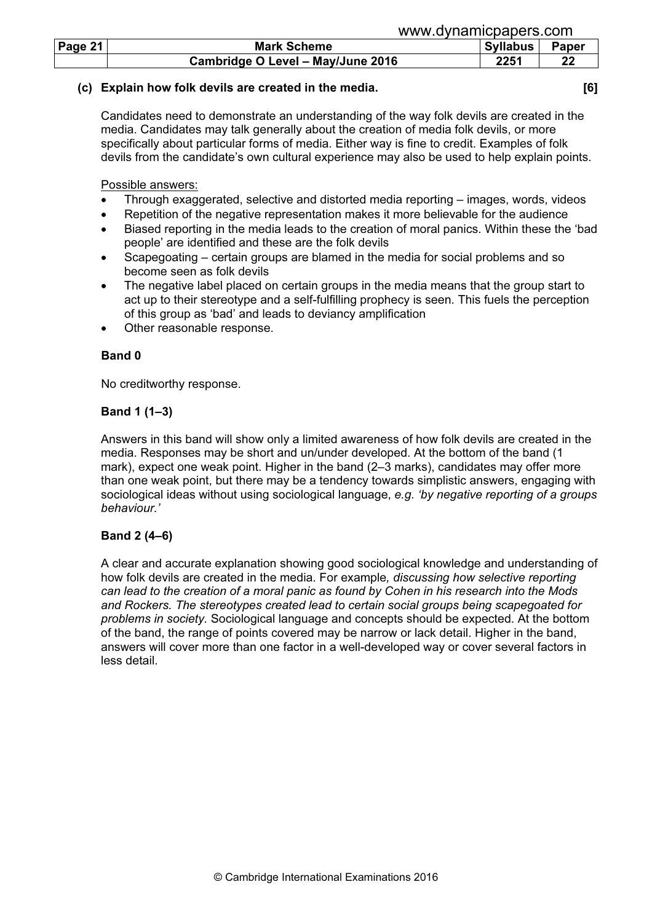| Page 21 | <b>Mark Scheme</b>                | <b>Syllabus</b> | Paper |
|---------|-----------------------------------|-----------------|-------|
|         | Cambridge O Level - May/June 2016 | 2251            | າາ    |

# (c) Explain how folk devils are created in the media. [6]

Candidates need to demonstrate an understanding of the way folk devils are created in the media. Candidates may talk generally about the creation of media folk devils, or more specifically about particular forms of media. Either way is fine to credit. Examples of folk devils from the candidate's own cultural experience may also be used to help explain points.

Possible answers:

- Through exaggerated, selective and distorted media reporting images, words, videos
- Repetition of the negative representation makes it more believable for the audience
- Biased reporting in the media leads to the creation of moral panics. Within these the 'bad people' are identified and these are the folk devils
- Scapegoating certain groups are blamed in the media for social problems and so become seen as folk devils
- The negative label placed on certain groups in the media means that the group start to act up to their stereotype and a self-fulfilling prophecy is seen. This fuels the perception of this group as 'bad' and leads to deviancy amplification
- Other reasonable response.

# Band 0

No creditworthy response.

# Band 1 (1–3)

Answers in this band will show only a limited awareness of how folk devils are created in the media. Responses may be short and un/under developed. At the bottom of the band (1 mark), expect one weak point. Higher in the band (2–3 marks), candidates may offer more than one weak point, but there may be a tendency towards simplistic answers, engaging with sociological ideas without using sociological language, e.g. 'by negative reporting of a groups behaviour.'

# Band 2 (4–6)

A clear and accurate explanation showing good sociological knowledge and understanding of how folk devils are created in the media. For example, discussing how selective reporting can lead to the creation of a moral panic as found by Cohen in his research into the Mods and Rockers. The stereotypes created lead to certain social groups being scapegoated for problems in society. Sociological language and concepts should be expected. At the bottom of the band, the range of points covered may be narrow or lack detail. Higher in the band, answers will cover more than one factor in a well-developed way or cover several factors in less detail.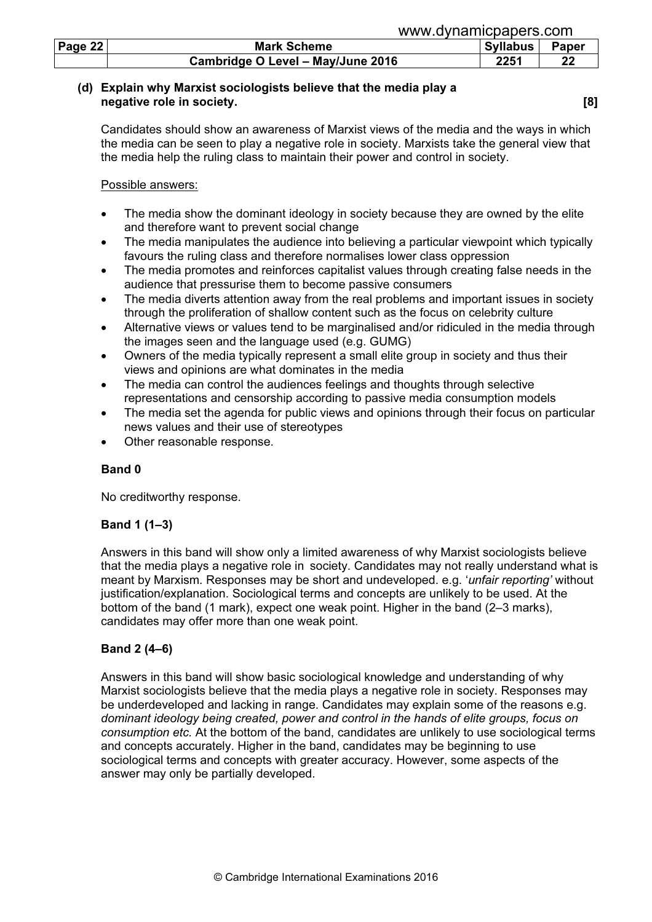| Page 22 | <b>Mark Scheme</b>                | <b>Syllabus</b> | <b>Paper</b> |
|---------|-----------------------------------|-----------------|--------------|
|         | Cambridge O Level - May/June 2016 | 2251            | າາ           |

## (d) Explain why Marxist sociologists believe that the media play a negative role in society. **Example 20** and 20 and 20 and 20 and 20 and 20 and 20 and 20 and 20 and 20 and 20 and 20 and 20 and 20 and 20 and 20 and 20 and 20 and 20 and 20 and 20 and 20 and 20 and 20 and 20 and 20 and 20 a

 Candidates should show an awareness of Marxist views of the media and the ways in which the media can be seen to play a negative role in society. Marxists take the general view that the media help the ruling class to maintain their power and control in society.

#### Possible answers:

- The media show the dominant ideology in society because they are owned by the elite and therefore want to prevent social change
- The media manipulates the audience into believing a particular viewpoint which typically favours the ruling class and therefore normalises lower class oppression
- The media promotes and reinforces capitalist values through creating false needs in the audience that pressurise them to become passive consumers
- The media diverts attention away from the real problems and important issues in society through the proliferation of shallow content such as the focus on celebrity culture
- Alternative views or values tend to be marginalised and/or ridiculed in the media through the images seen and the language used (e.g. GUMG)
- Owners of the media typically represent a small elite group in society and thus their views and opinions are what dominates in the media
- The media can control the audiences feelings and thoughts through selective representations and censorship according to passive media consumption models
- The media set the agenda for public views and opinions through their focus on particular news values and their use of stereotypes
- Other reasonable response.

# Band 0

No creditworthy response.

## Band 1 (1–3)

Answers in this band will show only a limited awareness of why Marxist sociologists believe that the media plays a negative role in society. Candidates may not really understand what is meant by Marxism. Responses may be short and undeveloped. e.g. 'unfair reporting' without justification/explanation. Sociological terms and concepts are unlikely to be used. At the bottom of the band (1 mark), expect one weak point. Higher in the band (2–3 marks), candidates may offer more than one weak point.

## Band 2 (4–6)

Answers in this band will show basic sociological knowledge and understanding of why Marxist sociologists believe that the media plays a negative role in society. Responses may be underdeveloped and lacking in range. Candidates may explain some of the reasons e.g. dominant ideology being created, power and control in the hands of elite groups, focus on consumption etc. At the bottom of the band, candidates are unlikely to use sociological terms and concepts accurately. Higher in the band, candidates may be beginning to use sociological terms and concepts with greater accuracy. However, some aspects of the answer may only be partially developed.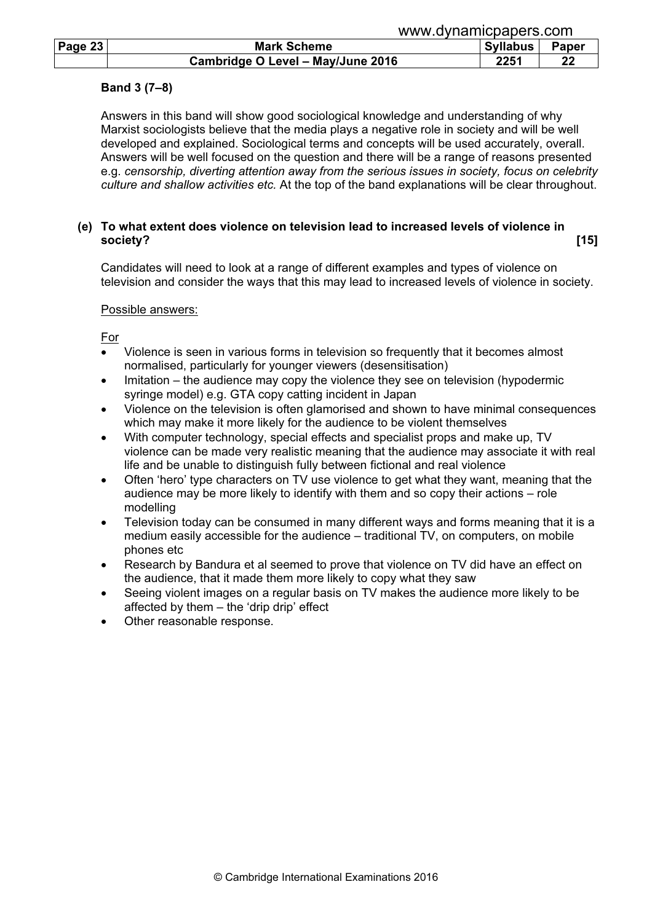| Page $23$ | <b>Mark Scheme</b>                | <b>Syllabus</b> | Paper |
|-----------|-----------------------------------|-----------------|-------|
|           | Cambridge O Level - May/June 2016 | 2251            | 22    |

#### Band 3 (7–8)

Answers in this band will show good sociological knowledge and understanding of why Marxist sociologists believe that the media plays a negative role in society and will be well developed and explained. Sociological terms and concepts will be used accurately, overall. Answers will be well focused on the question and there will be a range of reasons presented e.g. censorship, diverting attention away from the serious issues in society, focus on celebrity culture and shallow activities etc. At the top of the band explanations will be clear throughout.

#### (e) To what extent does violence on television lead to increased levels of violence in society? [15]

 Candidates will need to look at a range of different examples and types of violence on television and consider the ways that this may lead to increased levels of violence in society.

#### Possible answers:

For

- Violence is seen in various forms in television so frequently that it becomes almost normalised, particularly for younger viewers (desensitisation)
- Imitation the audience may copy the violence they see on television (hypodermic syringe model) e.g. GTA copy catting incident in Japan
- Violence on the television is often glamorised and shown to have minimal consequences which may make it more likely for the audience to be violent themselves
- With computer technology, special effects and specialist props and make up, TV violence can be made very realistic meaning that the audience may associate it with real life and be unable to distinguish fully between fictional and real violence
- Often 'hero' type characters on TV use violence to get what they want, meaning that the audience may be more likely to identify with them and so copy their actions – role modelling
- Television today can be consumed in many different ways and forms meaning that it is a medium easily accessible for the audience – traditional TV, on computers, on mobile phones etc
- Research by Bandura et al seemed to prove that violence on TV did have an effect on the audience, that it made them more likely to copy what they saw
- Seeing violent images on a regular basis on TV makes the audience more likely to be affected by them – the 'drip drip' effect
- Other reasonable response.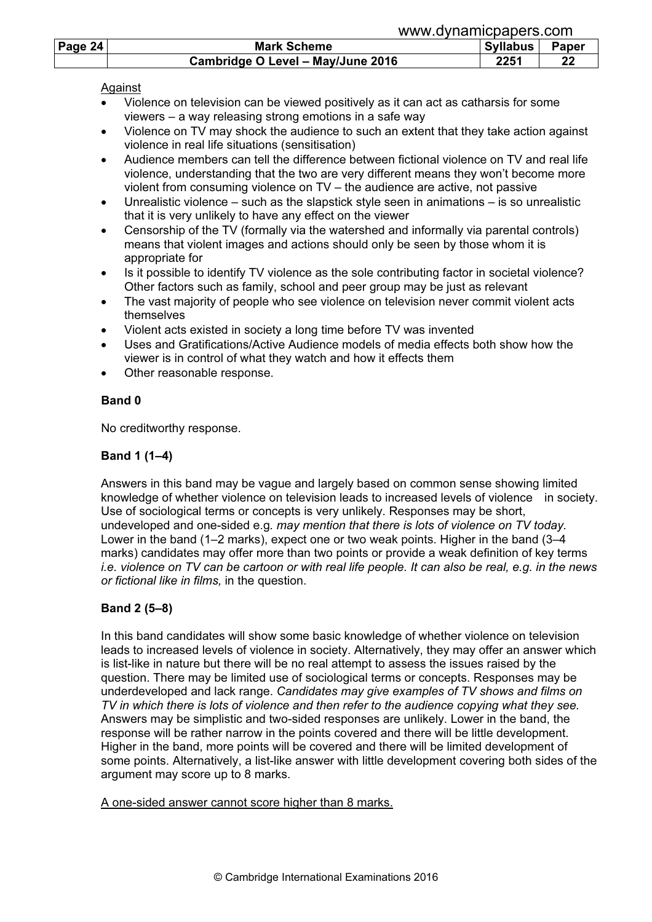|         | www.uviidiliiuuduus.uulii         |                 |              |  |  |
|---------|-----------------------------------|-----------------|--------------|--|--|
| Page 24 | <b>Mark Scheme</b>                | <b>Syllabus</b> | <b>Paper</b> |  |  |
|         | Cambridge O Level - May/June 2016 | 2251            | 22           |  |  |

## Against

- Violence on television can be viewed positively as it can act as catharsis for some viewers – a way releasing strong emotions in a safe way
- Violence on TV may shock the audience to such an extent that they take action against violence in real life situations (sensitisation)
- Audience members can tell the difference between fictional violence on TV and real life violence, understanding that the two are very different means they won't become more violent from consuming violence on TV – the audience are active, not passive
- Unrealistic violence such as the slapstick style seen in animations is so unrealistic that it is very unlikely to have any effect on the viewer
- Censorship of the TV (formally via the watershed and informally via parental controls) means that violent images and actions should only be seen by those whom it is appropriate for
- Is it possible to identify TV violence as the sole contributing factor in societal violence? Other factors such as family, school and peer group may be just as relevant
- The vast majority of people who see violence on television never commit violent acts themselves
- Violent acts existed in society a long time before TV was invented
- Uses and Gratifications/Active Audience models of media effects both show how the viewer is in control of what they watch and how it effects them
- Other reasonable response.

## Band 0

No creditworthy response.

# Band 1 (1–4)

Answers in this band may be vague and largely based on common sense showing limited knowledge of whether violence on television leads to increased levels of violence in society. Use of sociological terms or concepts is very unlikely. Responses may be short, undeveloped and one-sided e.g. may mention that there is lots of violence on TV today. Lower in the band (1–2 marks), expect one or two weak points. Higher in the band (3–4 marks) candidates may offer more than two points or provide a weak definition of key terms i.e. violence on TV can be cartoon or with real life people. It can also be real, e.g. in the news or fictional like in films, in the question.

# Band 2 (5–8)

In this band candidates will show some basic knowledge of whether violence on television leads to increased levels of violence in society. Alternatively, they may offer an answer which is list-like in nature but there will be no real attempt to assess the issues raised by the question. There may be limited use of sociological terms or concepts. Responses may be underdeveloped and lack range. Candidates may give examples of TV shows and films on TV in which there is lots of violence and then refer to the audience copying what they see. Answers may be simplistic and two-sided responses are unlikely. Lower in the band, the response will be rather narrow in the points covered and there will be little development. Higher in the band, more points will be covered and there will be limited development of some points. Alternatively, a list-like answer with little development covering both sides of the argument may score up to 8 marks.

A one-sided answer cannot score higher than 8 marks.